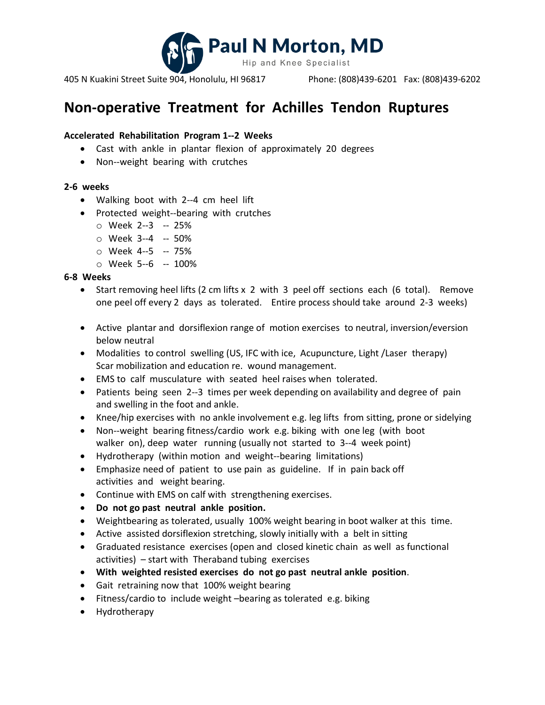

405 N Kuakini Street Suite 904, Honolulu, HI 96817 Phone: (808)439-6201 Fax: (808)439-6202

# **Non-operative Treatment for Achilles Tendon Ruptures**

## **Accelerated Rehabilitation Program 1-‐2 Weeks**

- Cast with ankle in plantar flexion of approximately 20 degrees
- Non-‐weight bearing with crutches

## **2‐6 weeks**

- Walking boot with 2--4 cm heel lift
- Protected weight-‐bearing with crutches
	- o Week 2-‐3 -‐ 25%
	- o Week 3-‐4 -‐ 50%
	- o Week 4-‐5 -‐ 75%
	- o Week 5-‐6 -‐ 100%

## **6‐8 Weeks**

- Start removing heel lifts (2 cm lifts x 2 with 3 peel off sections each (6 total). Remove one peel off every 2 days as tolerated. Entire process should take around 2‐3 weeks)
- Active plantar and dorsiflexion range of motion exercises to neutral, inversion/eversion below neutral
- Modalities to control swelling (US, IFC with ice, Acupuncture, Light /Laser therapy) Scar mobilization and education re. wound management.
- EMS to calf musculature with seated heel raises when tolerated.
- Patients being seen 2-‐3 times per week depending on availability and degree of pain and swelling in the foot and ankle.
- Knee/hip exercises with no ankle involvement e.g. leg lifts from sitting, prone or sidelying
- Non-‐weight bearing fitness/cardio work e.g. biking with one leg (with boot walker on), deep water running (usually not started to 3--4 week point)
- Hydrotherapy (within motion and weight-‐bearing limitations)
- Emphasize need of patient to use pain as guideline. If in pain back off activities and weight bearing.
- Continue with EMS on calf with strengthening exercises.
- **Do not go past neutral ankle position.**
- Weightbearing as tolerated, usually 100% weight bearing in boot walker at this time.
- Active assisted dorsiflexion stretching, slowly initially with a belt in sitting
- Graduated resistance exercises (open and closed kinetic chain as well as functional activities) – start with Theraband tubing exercises
- **With weighted resisted exercises do not go past neutral ankle position**.
- Gait retraining now that 100% weight bearing
- Fitness/cardio to include weight –bearing as tolerated e.g. biking
- Hydrotherapy